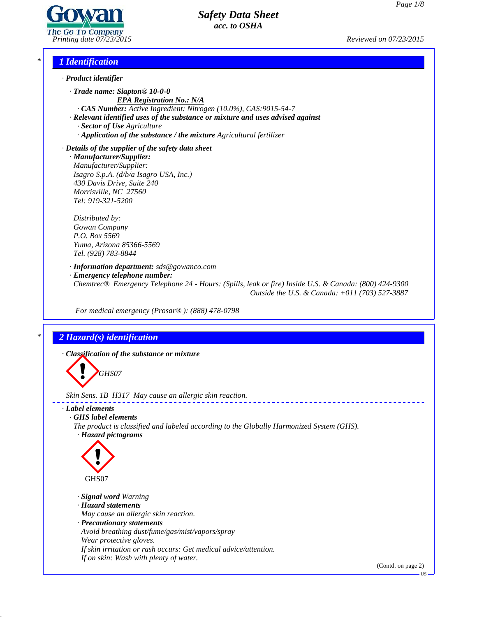

# *\* 1 Identification*

- *· Product identifier*
	- *· Trade name: Siapton® 10-0-0 EPA Registration No.: N/A · CAS Number: Active Ingredient: Nitrogen (10.0%), CAS:9015-54-7*
	- *· Relevant identified uses of the substance or mixture and uses advised against*
		- *· Sector of Use Agriculture*
		- *· Application of the substance / the mixture Agricultural fertilizer*

*· Details of the supplier of the safety data sheet · Manufacturer/Supplier: Manufacturer/Supplier:*

*Isagro S.p.A. (d/b/a Isagro USA, Inc.) 430 Davis Drive, Suite 240 Morrisville, NC 27560 Tel: 919-321-5200*

*Distributed by: Gowan Company P.O. Box 5569 Yuma, Arizona 85366-5569 Tel. (928) 783-8844*

*· Information department: sds@gowanco.com · Emergency telephone number: Chemtrec® Emergency Telephone 24 - Hours: (Spills, leak or fire) Inside U.S. & Canada: (800) 424-9300 Outside the U.S. & Canada: +011 (703) 527-3887*

*For medical emergency (Prosar® ): (888) 478-0798*

# *\* 2 Hazard(s) identification*

*· Classification of the substance or mixture*

**GHS07** 

*Skin Sens. 1B H317 May cause an allergic skin reaction.*

## *· Label elements*

*· GHS label elements*

*The product is classified and labeled according to the Globally Harmonized System (GHS). · Hazard pictograms*



41.0

- *· Signal word Warning*
- *· Hazard statements*
- *May cause an allergic skin reaction.*
- *· Precautionary statements*
- *Avoid breathing dust/fume/gas/mist/vapors/spray*
- *Wear protective gloves.*
- *If skin irritation or rash occurs: Get medical advice/attention.*
- *If on skin: Wash with plenty of water.*

(Contd. on page 2)

US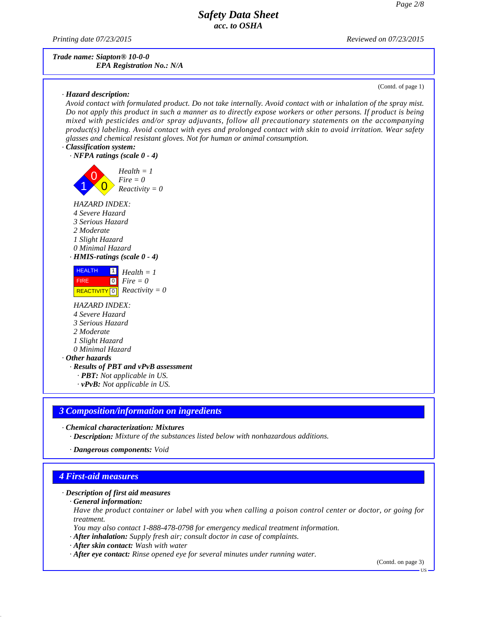*Printing date 07/23/2015 Reviewed on 07/23/2015*

*Trade name: Siapton® 10-0-0 EPA Registration No.: N/A*

## *· Hazard description:*

(Contd. of page 1)

Avoid contact with formulated product. Do not take internally. Avoid contact with or inhalation of the spray mist. Do not apply this product in such a manner as to directly expose workers or other persons. If product is being *mixed with pesticides and/or spray adjuvants, follow all precautionary statements on the accompanying product(s) labeling. Avoid contact with eyes and prolonged contact with skin to avoid irritation. Wear safety glasses and chemical resistant gloves. Not for human or animal consumption.*

## *· Classification system:*



*· PBT: Not applicable in US.*

*· vPvB: Not applicable in US.*

## *3 Composition/information on ingredients*

*· Chemical characterization: Mixtures*

*· Description: Mixture of the substances listed below with nonhazardous additions.*

*· Dangerous components: Void*

## *4 First-aid measures*

41.0

## *· Description of first aid measures*

*· General information:*

Have the product container or label with you when calling a poison control center or doctor, or going for *treatment.*

*You may also contact 1-888-478-0798 for emergency medical treatment information.*

*· After inhalation: Supply fresh air; consult doctor in case of complaints.*

- *· After skin contact: Wash with water*
- *· After eye contact: Rinse opened eye for several minutes under running water.*

(Contd. on page 3)

US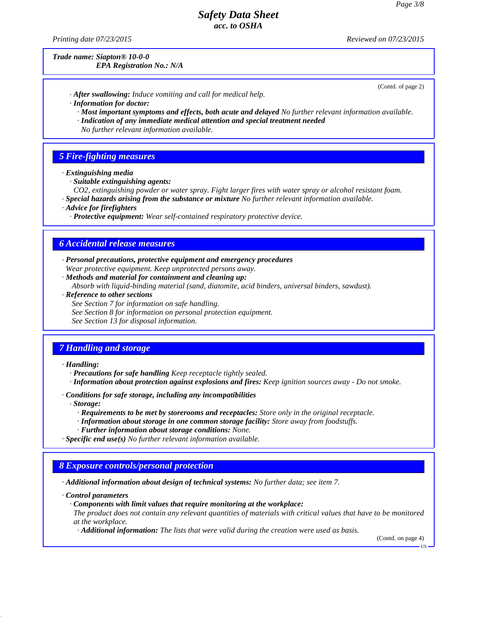*Printing date 07/23/2015 Reviewed on 07/23/2015*

*Trade name: Siapton® 10-0-0*

## *EPA Registration No.: N/A*

(Contd. of page 2)

- *· After swallowing: Induce vomiting and call for medical help.*
- *· Information for doctor:*
	- *· Most important symptoms and effects, both acute and delayed No further relevant information available.*
	- *· Indication of any immediate medical attention and special treatment needed*
	- *No further relevant information available.*

## *5 Fire-fighting measures*

- *· Extinguishing media*
	- *· Suitable extinguishing agents:*
- *CO2, extinguishing powder or water spray. Fight larger fires with water spray or alcohol resistant foam. · Special hazards arising from the substance or mixture No further relevant information available.*
- *· Advice for firefighters*
	- *· Protective equipment: Wear self-contained respiratory protective device.*

## *6 Accidental release measures*

- *· Personal precautions, protective equipment and emergency procedures Wear protective equipment. Keep unprotected persons away.*
- *· Methods and material for containment and cleaning up:*
	- *Absorb with liquid-binding material (sand, diatomite, acid binders, universal binders, sawdust).*
- *· Reference to other sections*
	- *See Section 7 for information on safe handling.*
	- *See Section 8 for information on personal protection equipment.*
	- *See Section 13 for disposal information.*

## *7 Handling and storage*

#### *· Handling:*

- *· Precautions for safe handling Keep receptacle tightly sealed.*
- *· Information about protection against explosions and fires: Keep ignition sources away - Do not smoke.*
- *· Conditions for safe storage, including any incompatibilities*
	- *· Storage:*
		- *· Requirements to be met by storerooms and receptacles: Store only in the original receptacle.*
		- *· Information about storage in one common storage facility: Store away from foodstuf s.*
		- *· Further information about storage conditions: None.*
- *· Specific end use(s) No further relevant information available.*

## *8 Exposure controls/personal protection*

*· Additional information about design of technical systems: No further data; see item 7.*

*· Control parameters*

41.0

- *· Components with limit values that require monitoring at the workplace:*
- The product does not contain any relevant quantities of materials with critical values that have to be monitored *at the workplace.*
- *· Additional information: The lists that were valid during the creation were used as basis.*

(Contd. on page 4)

US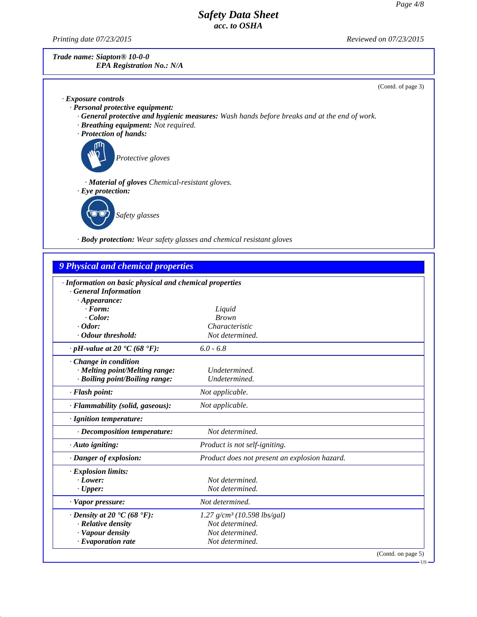*Printing date 07/23/2015 Reviewed on 07/23/2015*

41.0

*Trade name: Siapton® 10-0-0 EPA Registration No.: N/A*

(Contd. of page 3)

| $\cdot$ Exposure controls                                                                          |
|----------------------------------------------------------------------------------------------------|
| $\cdot$ Personal protective equipment:                                                             |
| $\cdot$ General protective and hygienic measures: Wash hands before breaks and at the end of work. |
| $\cdot$ Breathing equipment: Not required.                                                         |
| · Protection of hands:                                                                             |
| Protective gloves                                                                                  |
| · <b>Material of gloves</b> Chemical-resistant gloves.                                             |
| $\cdot$ Eye protection:                                                                            |
| Safety glasses                                                                                     |

*· Body protection: Wear safety glasses and chemical resistant gloves*

| $6.0 - 6.8$                                   |                                                                                                                  |
|-----------------------------------------------|------------------------------------------------------------------------------------------------------------------|
|                                               |                                                                                                                  |
|                                               |                                                                                                                  |
|                                               |                                                                                                                  |
| Not applicable.                               |                                                                                                                  |
| Not applicable.                               |                                                                                                                  |
|                                               |                                                                                                                  |
| Not determined.                               |                                                                                                                  |
| Product is not self-igniting.                 |                                                                                                                  |
| Product does not present an explosion hazard. |                                                                                                                  |
|                                               |                                                                                                                  |
| Not determined.                               |                                                                                                                  |
|                                               |                                                                                                                  |
| Not determined.                               |                                                                                                                  |
| $1.27$ g/cm <sup>3</sup> (10.598 lbs/gal)     |                                                                                                                  |
| Not determined.                               |                                                                                                                  |
| Not determined.                               |                                                                                                                  |
|                                               | Liquid<br><b>Brown</b><br>Characteristic<br>Not determined.<br>Undetermined.<br>Undetermined.<br>Not determined. |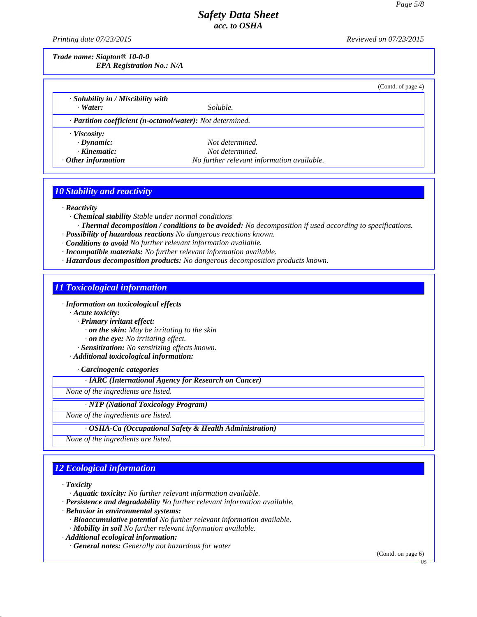*Printing date 07/23/2015 Reviewed on 07/23/2015*

*Trade name: Siapton® 10-0-0 EPA Registration No.: N/A*

|                                          |                                                            | (Contd. of page 4) |
|------------------------------------------|------------------------------------------------------------|--------------------|
| $\cdot$ Solubility in / Miscibility with |                                                            |                    |
| $\cdot$ Water:                           | Soluble.                                                   |                    |
|                                          | · Partition coefficient (n-octanol/water): Not determined. |                    |
| $\cdot$ Viscosity:                       |                                                            |                    |
| $\cdot$ Dynamic:                         | Not determined.                                            |                    |
| $\cdot$ Kinematic:                       | Not determined.                                            |                    |
| $\cdot$ Other information                | No further relevant information available.                 |                    |

# *10 Stability and reactivity*

*· Reactivity*

- *· Chemical stability Stable under normal conditions*
- *· Thermal decomposition / conditions to be avoided: No decomposition if used according to specifications.*
- *· Possibility of hazardous reactions No dangerous reactions known.*
- *· Conditions to avoid No further relevant information available.*
- *· Incompatible materials: No further relevant information available.*
- *· Hazardous decomposition products: No dangerous decomposition products known.*

# *11 Toxicological information*

*· Information on toxicological effects*

*· Acute toxicity:*

- *· Primary irritant effect:*
- *· on the skin: May be irritating to the skin*
- *· on the eye: No irritating ef ect.*

*· Sensitization: No sensitizing ef ects known.*

*· Additional toxicological information:*

*· Carcinogenic categories*

*· IARC (International Agency for Research on Cancer)*

*None of the ingredients are listed.*

## *· NTP (National Toxicology Program)*

*None of the ingredients are listed.*

*· OSHA-Ca (Occupational Safety & Health Administration)*

*None of the ingredients are listed.*

# *12 Ecological information*

*· Toxicity*

41.0

*· Aquatic toxicity: No further relevant information available.*

- *· Persistence and degradability No further relevant information available.*
- *· Behavior in environmental systems:*
	- *· Bioaccumulative potential No further relevant information available.*
	- *· Mobility in soil No further relevant information available.*

*· Additional ecological information:*

*· General notes: Generally not hazardous for water*

(Contd. on page 6)

US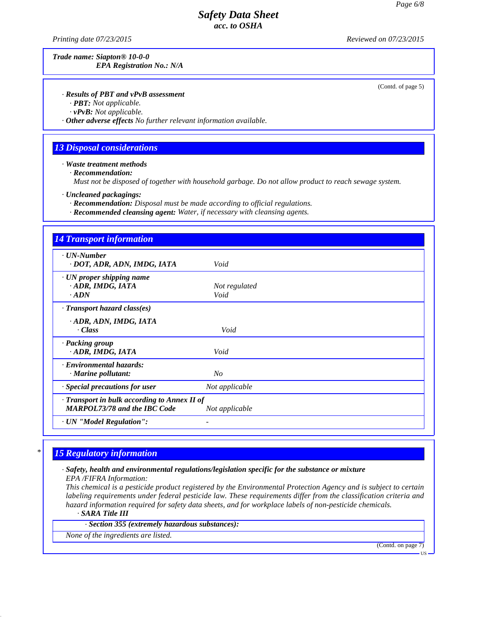*Printing date 07/23/2015 Reviewed on 07/23/2015*

*Trade name: Siapton® 10-0-0 EPA Registration No.: N/A*

(Contd. of page 5)

## *· Results of PBT and vPvB assessment*

*· PBT: Not applicable.*

*· vPvB: Not applicable.*

*· Other adverse effects No further relevant information available.*

## *13 Disposal considerations*

*· Waste treatment methods*

*· Recommendation:*

*Must not be disposed of together with household garbage. Do not allow product to reach sewage system.*

*· Uncleaned packagings:*

*· Recommendation: Disposal must be made according to of icial regulations.*

*· Recommended cleansing agent: Water, if necessary with cleansing agents.*

| <b>14 Transport information</b>                                                     |                       |  |
|-------------------------------------------------------------------------------------|-----------------------|--|
| $\cdot$ UN-Number<br>· DOT, ADR, ADN, IMDG, IATA                                    | Void                  |  |
| · UN proper shipping name<br>· ADR, IMDG, IATA<br>$\cdot$ ADN                       | Not regulated<br>Void |  |
| $\cdot$ Transport hazard class(es)                                                  |                       |  |
| · ADR, ADN, IMDG, IATA<br>· Class                                                   | Void                  |  |
| · Packing group<br>· ADR, IMDG, IATA                                                | Void                  |  |
| · Environmental hazards:<br>$\cdot$ Marine pollutant:                               | No                    |  |
| Special precautions for user                                                        | Not applicable        |  |
| · Transport in bulk according to Annex II of<br><b>MARPOL73/78 and the IBC Code</b> | Not applicable        |  |
| · UN "Model Regulation":                                                            |                       |  |

# *\* 15 Regulatory information*

# *· Safety, health and environmental regulations/legislation specific for the substance or mixture*

*EPA /FIFRA Information:*

41.0

This chemical is a pesticide product registered by the Environmental Protection Agency and is subject to certain *labeling requirements under federal pesticide law. These requirements differ from the classification criteria and hazard information required for safety data sheets, and for workplace labels of non-pesticide chemicals. · SARA Title III*

*· Section 355 (extremely hazardous substances):*

*None of the ingredients are listed.*

(Contd. on page 7)

US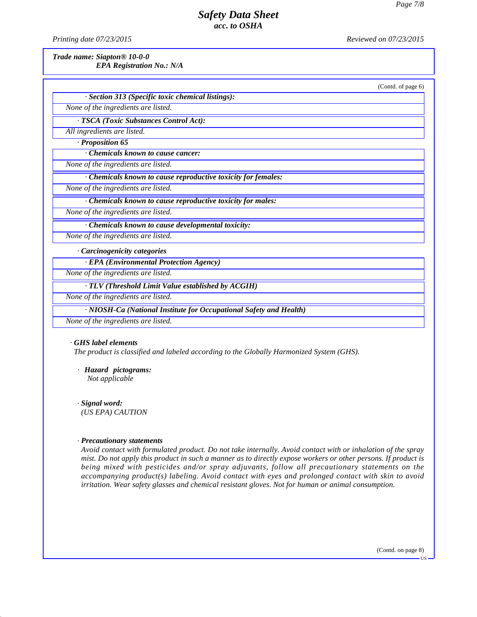*Printing date 07/23/2015 Reviewed on 07/23/2015*

(Contd. of page 6)

*Trade name: Siapton® 10-0-0*

*EPA Registration No.: N/A*

*· Section 313 (Specific toxic chemical listings): None of the ingredients are listed. · TSCA (Toxic Substances Control Act): All ingredients are listed. · Proposition 65 · Chemicals known to cause cancer: None of the ingredients are listed. · Chemicals known to cause reproductive toxicity for females: None of the ingredients are listed. · Chemicals known to cause reproductive toxicity for males: None of the ingredients are listed. · Chemicals known to cause developmental toxicity: None of the ingredients are listed. · Carcinogenicity categories · EPA (Environmental Protection Agency)*

*None of the ingredients are listed.*

*· TLV (Threshold Limit Value established by ACGIH)*

*None of the ingredients are listed.*

*· NIOSH-Ca (National Institute for Occupational Safety and Health)*

*None of the ingredients are listed.*

#### *· GHS label elements*

*The product is classified and labeled according to the Globally Harmonized System (GHS).*

*· Hazard pictograms: HS label elemenise product is class*<br>*Hazard pictogs***<br>***Not applicable* 

*· Signal word: Hazard pictograms:*<br>*Not applicable<br>Signal word:*<br>*(US EPA) CAUTION* 

#### *· Precautionary statements*

41.0

*Avoid contact with formulated product. Do not take internally. Avoid contact with or inhalation of the spray***<br><b>Precautionary statements**<br>*Avoid contact with formulated product. Do not take internally. Avoid contact with (US EPA) CAUTION*<br>*Precautionary statements*<br>*Avoid contact with formulated product. Do not take internally. Avoid contact with or inhalation of the spray*<br>*mist. Do not apply this product in such a manner as to directly* **Precautionary statements**<br>*being mixed with formulated product. Do not take internally. Avoid contact with or inhalation of the spray*<br>*mist. Do not apply this product in such a manner as to directly expose workers or oth* **Precautionary statements**<br>*Avoid contact with formulated product. Do not take internally. Avoid contact with or inhalation of the spray*<br>*mist. Do not apply this product in such a manner as to directly expose workers or o* **Precautionary statements**<br>Avoid contact with formulated product. Do not take internally. Avoid contact with or inhalation of the s<br>mist. Do not apply this product in such a manner as to directly expose workers or other pe

(Contd. on page 8)